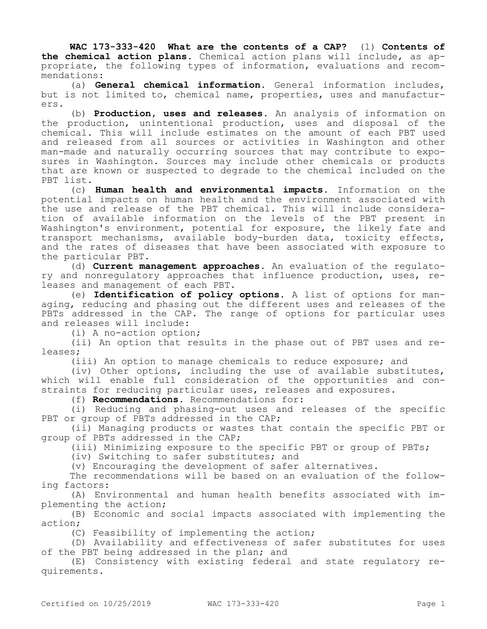**WAC 173-333-420 What are the contents of a CAP?** (1) **Contents of the chemical action plans.** Chemical action plans will include, as appropriate, the following types of information, evaluations and recommendations:

(a) **General chemical information.** General information includes, but is not limited to, chemical name, properties, uses and manufacturers.

(b) **Production, uses and releases.** An analysis of information on the production, unintentional production, uses and disposal of the chemical. This will include estimates on the amount of each PBT used and released from all sources or activities in Washington and other man-made and naturally occurring sources that may contribute to exposures in Washington. Sources may include other chemicals or products that are known or suspected to degrade to the chemical included on the PBT list.

(c) **Human health and environmental impacts.** Information on the potential impacts on human health and the environment associated with the use and release of the PBT chemical. This will include consideration of available information on the levels of the PBT present in Washington's environment, potential for exposure, the likely fate and transport mechanisms, available body-burden data, toxicity effects, and the rates of diseases that have been associated with exposure to the particular PBT.

(d) **Current management approaches.** An evaluation of the regulatory and nonregulatory approaches that influence production, uses, releases and management of each PBT.

(e) **Identification of policy options.** A list of options for managing, reducing and phasing out the different uses and releases of the PBTs addressed in the CAP. The range of options for particular uses and releases will include:

(i) A no-action option;

(ii) An option that results in the phase out of PBT uses and releases;

(iii) An option to manage chemicals to reduce exposure; and

(iv) Other options, including the use of available substitutes, which will enable full consideration of the opportunities and constraints for reducing particular uses, releases and exposures.

(f) **Recommendations.** Recommendations for:

(i) Reducing and phasing-out uses and releases of the specific PBT or group of PBTs addressed in the CAP;

(ii) Managing products or wastes that contain the specific PBT or group of PBTs addressed in the CAP;

(iii) Minimizing exposure to the specific PBT or group of PBTs;

(iv) Switching to safer substitutes; and

(v) Encouraging the development of safer alternatives.

The recommendations will be based on an evaluation of the following factors:

(A) Environmental and human health benefits associated with implementing the action;

(B) Economic and social impacts associated with implementing the action;

(C) Feasibility of implementing the action;

(D) Availability and effectiveness of safer substitutes for uses of the PBT being addressed in the plan; and

(E) Consistency with existing federal and state regulatory requirements.